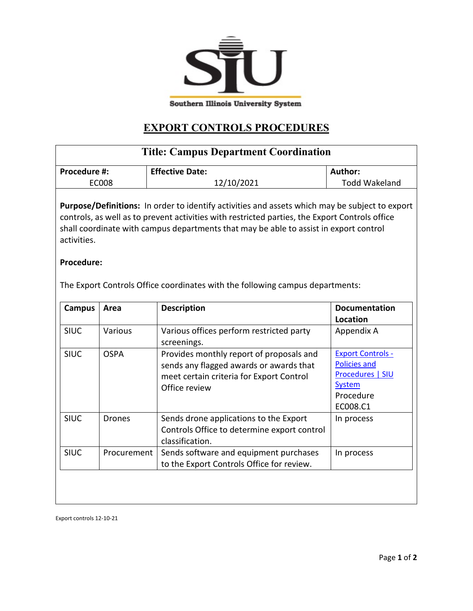

## **EXPORT CONTROLS PROCEDURES**

| <b>Title: Campus Department Coordination</b>                                                                                                                                                                                                                                                                    |                        |                      |  |  |  |
|-----------------------------------------------------------------------------------------------------------------------------------------------------------------------------------------------------------------------------------------------------------------------------------------------------------------|------------------------|----------------------|--|--|--|
| Procedure #:                                                                                                                                                                                                                                                                                                    | <b>Effective Date:</b> | Author:              |  |  |  |
| <b>EC008</b>                                                                                                                                                                                                                                                                                                    | 12/10/2021             | <b>Todd Wakeland</b> |  |  |  |
| <b>Purpose/Definitions:</b> In order to identify activities and assets which may be subject to export<br>controls, as well as to prevent activities with restricted parties, the Export Controls office<br>shall coordinate with campus departments that may be able to assist in export control<br>activities. |                        |                      |  |  |  |

## **Procedure:**

The Export Controls Office coordinates with the following campus departments:

| Campus      | Area        | <b>Description</b>                                                                                                                               | <b>Documentation</b><br>Location                                                                              |
|-------------|-------------|--------------------------------------------------------------------------------------------------------------------------------------------------|---------------------------------------------------------------------------------------------------------------|
| <b>SIUC</b> | Various     | Various offices perform restricted party<br>screenings.                                                                                          | Appendix A                                                                                                    |
| <b>SIUC</b> | <b>OSPA</b> | Provides monthly report of proposals and<br>sends any flagged awards or awards that<br>meet certain criteria for Export Control<br>Office review | <b>Export Controls -</b><br><b>Policies and</b><br>Procedures   SIU<br><b>System</b><br>Procedure<br>EC008.C1 |
| <b>SIUC</b> | Drones      | Sends drone applications to the Export<br>Controls Office to determine export control<br>classification.                                         | In process                                                                                                    |
| <b>SIUC</b> | Procurement | Sends software and equipment purchases<br>to the Export Controls Office for review.                                                              | In process                                                                                                    |
|             |             |                                                                                                                                                  |                                                                                                               |

Export controls 12-10-21